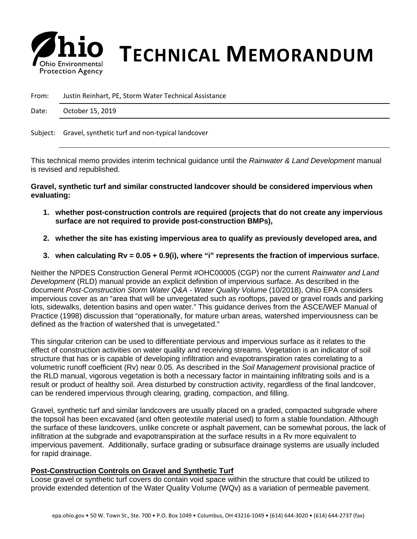

## *S* **his Environmental <b>TECHNICAL MEMORANDUM**

From: Justin Reinhart, PE, Storm Water Technical Assistance

Date: October 15, 2019

Subject: Gravel, synthetic turf and non-typical landcover

This technical memo provides interim technical guidance until the *Rainwater & Land Development* manual is revised and republished.

**Gravel, synthetic turf and similar constructed landcover should be considered impervious when evaluating:**

- **1. whether post-construction controls are required (projects that do not create any impervious surface are not required to provide post-construction BMPs),**
- **2. whether the site has existing impervious area to qualify as previously developed area, and**
- **3. when calculating Rv = 0.05 + 0.9(i), where "i" represents the fraction of impervious surface.**

Neither the NPDES Construction General Permit #OHC00005 (CGP) nor the current *Rainwater and Land Development* (RLD) manual provide an explicit definition of impervious surface. As described in the document *Post-Construction Storm Water Q&A - Water Quality Volume* (10/2018), Ohio EPA considers impervious cover as an "area that will be unvegetated such as rooftops, paved or gravel roads and parking lots, sidewalks, detention basins and open water." This guidance derives from the ASCE/WEF Manual of Practice (1998) discussion that "operationally, for mature urban areas, watershed imperviousness can be defined as the fraction of watershed that is unvegetated."

This singular criterion can be used to differentiate pervious and impervious surface as it relates to the effect of construction activities on water quality and receiving streams. Vegetation is an indicator of soil structure that has or is capable of developing infiltration and evapotranspiration rates correlating to a volumetric runoff coefficient (Rv) near 0.05. As described in the *Soil Management* provisional practice of the RLD manual, vigorous vegetation is both a necessary factor in maintaining infiltrating soils and is a result or product of healthy soil. Area disturbed by construction activity, regardless of the final landcover, can be rendered impervious through clearing, grading, compaction, and filling.

Gravel, synthetic turf and similar landcovers are usually placed on a graded, compacted subgrade where the topsoil has been excavated (and often geotextile material used) to form a stable foundation. Although the surface of these landcovers, unlike concrete or asphalt pavement, can be somewhat porous, the lack of infiltration at the subgrade and evapotranspiration at the surface results in a Rv more equivalent to impervious pavement. Additionally, surface grading or subsurface drainage systems are usually included for rapid drainage.

## **Post-Construction Controls on Gravel and Synthetic Turf**

Loose gravel or synthetic turf covers do contain void space within the structure that could be utilized to provide extended detention of the Water Quality Volume (WQv) as a variation of permeable pavement.